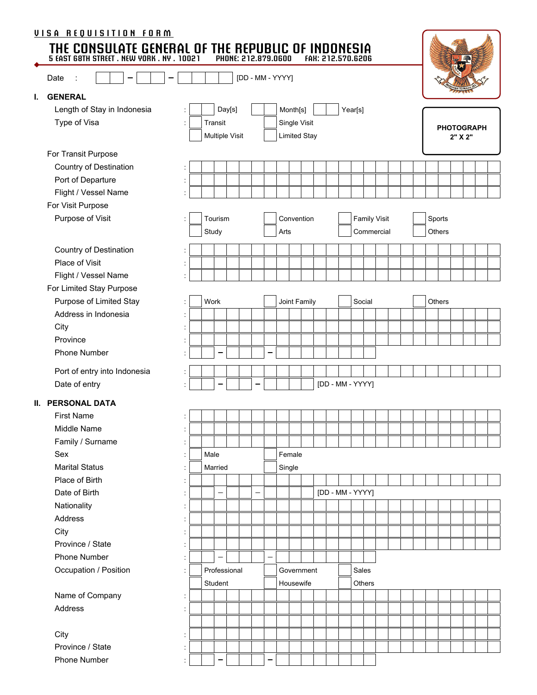|    | <u>VISA REQUISITION FORM</u><br>THE CONSULATE GENERAL OF THE REPUBLIC OF INDONESIA<br>5 EAST G8TH STREET. NEW YORK. NY. 10021 PHONE: 212.879.0600 FAH: 212.570.6206<br>Date |                      |       |                          |        |  |   | [DD - MM - YYYY] |                         |  |  | FAH: 212.570.6206 |               |                                   |  |                              |        |  |  |  |  |
|----|-----------------------------------------------------------------------------------------------------------------------------------------------------------------------------|----------------------|-------|--------------------------|--------|--|---|------------------|-------------------------|--|--|-------------------|---------------|-----------------------------------|--|------------------------------|--------|--|--|--|--|
| I. | <b>GENERAL</b>                                                                                                                                                              |                      |       |                          |        |  |   |                  |                         |  |  |                   |               |                                   |  |                              |        |  |  |  |  |
|    | Length of Stay in Indonesia                                                                                                                                                 | Î.                   |       |                          | Day[s] |  |   |                  | Month[s]                |  |  | Year[s]           |               |                                   |  |                              |        |  |  |  |  |
|    | Type of Visa                                                                                                                                                                | $\ddot{\phantom{a}}$ |       | Transit                  |        |  |   |                  | Single Visit            |  |  |                   |               |                                   |  |                              |        |  |  |  |  |
|    |                                                                                                                                                                             |                      |       | Multiple Visit           |        |  |   |                  | <b>Limited Stay</b>     |  |  |                   |               |                                   |  | <b>PHOTOGRAPH</b><br>2" X 2" |        |  |  |  |  |
|    | For Transit Purpose                                                                                                                                                         |                      |       |                          |        |  |   |                  |                         |  |  |                   |               |                                   |  |                              |        |  |  |  |  |
|    | Country of Destination                                                                                                                                                      | $\ddot{\phantom{a}}$ |       |                          |        |  |   |                  |                         |  |  |                   |               |                                   |  |                              |        |  |  |  |  |
|    | Port of Departure                                                                                                                                                           | $\ddot{\phantom{a}}$ |       |                          |        |  |   |                  |                         |  |  |                   |               |                                   |  |                              |        |  |  |  |  |
|    | Flight / Vessel Name                                                                                                                                                        |                      |       |                          |        |  |   |                  |                         |  |  |                   |               |                                   |  |                              |        |  |  |  |  |
|    | For Visit Purpose                                                                                                                                                           |                      |       |                          |        |  |   |                  |                         |  |  |                   |               |                                   |  |                              |        |  |  |  |  |
|    | Purpose of Visit                                                                                                                                                            |                      | Study | Tourism                  |        |  |   | Arts             | Convention              |  |  |                   |               | <b>Family Visit</b><br>Commercial |  | Sports<br>Others             |        |  |  |  |  |
|    | Country of Destination                                                                                                                                                      |                      |       |                          |        |  |   |                  |                         |  |  |                   |               |                                   |  |                              |        |  |  |  |  |
|    | Place of Visit                                                                                                                                                              | ÷.                   |       |                          |        |  |   |                  |                         |  |  |                   |               |                                   |  |                              |        |  |  |  |  |
|    | Flight / Vessel Name                                                                                                                                                        |                      |       |                          |        |  |   |                  |                         |  |  |                   |               |                                   |  |                              |        |  |  |  |  |
|    | For Limited Stay Purpose                                                                                                                                                    |                      |       |                          |        |  |   |                  |                         |  |  |                   |               |                                   |  |                              |        |  |  |  |  |
|    | Purpose of Limited Stay                                                                                                                                                     |                      | Work  |                          |        |  |   |                  | Joint Family            |  |  | Social            |               |                                   |  |                              | Others |  |  |  |  |
|    | Address in Indonesia                                                                                                                                                        |                      |       |                          |        |  |   |                  |                         |  |  |                   |               |                                   |  |                              |        |  |  |  |  |
|    |                                                                                                                                                                             | ÷                    |       |                          |        |  |   |                  |                         |  |  |                   |               |                                   |  |                              |        |  |  |  |  |
|    | City<br>Province                                                                                                                                                            | t                    |       |                          |        |  |   |                  |                         |  |  |                   |               |                                   |  |                              |        |  |  |  |  |
|    | <b>Phone Number</b>                                                                                                                                                         |                      |       |                          |        |  |   |                  |                         |  |  |                   |               |                                   |  |                              |        |  |  |  |  |
|    |                                                                                                                                                                             |                      |       |                          |        |  |   |                  |                         |  |  |                   |               |                                   |  |                              |        |  |  |  |  |
|    | Port of entry into Indonesia                                                                                                                                                |                      |       |                          |        |  |   |                  |                         |  |  |                   |               |                                   |  |                              |        |  |  |  |  |
|    | Date of entry                                                                                                                                                               |                      |       |                          |        |  |   |                  |                         |  |  | [DD - MM - YYYY]  |               |                                   |  |                              |        |  |  |  |  |
|    | <b>II. PERSONAL DATA</b>                                                                                                                                                    |                      |       |                          |        |  |   |                  |                         |  |  |                   |               |                                   |  |                              |        |  |  |  |  |
|    | <b>First Name</b>                                                                                                                                                           | t,                   |       |                          |        |  |   |                  |                         |  |  |                   |               |                                   |  |                              |        |  |  |  |  |
|    | Middle Name                                                                                                                                                                 | $\vdots$             |       |                          |        |  |   |                  |                         |  |  |                   |               |                                   |  |                              |        |  |  |  |  |
|    | Family / Surname                                                                                                                                                            | $\blacksquare$       |       |                          |        |  |   |                  |                         |  |  |                   |               |                                   |  |                              |        |  |  |  |  |
|    | Sex                                                                                                                                                                         |                      | Male  |                          |        |  |   |                  | Female                  |  |  |                   |               |                                   |  |                              |        |  |  |  |  |
|    | <b>Marital Status</b>                                                                                                                                                       | $\ddot{\phantom{a}}$ |       | Married                  |        |  |   |                  | Single                  |  |  |                   |               |                                   |  |                              |        |  |  |  |  |
|    | Place of Birth                                                                                                                                                              | $\ddot{\phantom{a}}$ |       |                          |        |  |   |                  |                         |  |  |                   |               |                                   |  |                              |        |  |  |  |  |
|    | Date of Birth                                                                                                                                                               |                      |       | $\overline{\phantom{0}}$ |        |  |   |                  |                         |  |  | [DD - MM - YYYY]  |               |                                   |  |                              |        |  |  |  |  |
|    | Nationality                                                                                                                                                                 |                      |       |                          |        |  |   |                  |                         |  |  |                   |               |                                   |  |                              |        |  |  |  |  |
|    | Address                                                                                                                                                                     |                      |       |                          |        |  |   |                  |                         |  |  |                   |               |                                   |  |                              |        |  |  |  |  |
|    | City                                                                                                                                                                        | $\cdot$              |       |                          |        |  |   |                  |                         |  |  |                   |               |                                   |  |                              |        |  |  |  |  |
|    | Province / State                                                                                                                                                            |                      |       |                          |        |  |   |                  |                         |  |  |                   |               |                                   |  |                              |        |  |  |  |  |
|    | Phone Number                                                                                                                                                                | $\ddot{\phantom{a}}$ |       | —                        |        |  | - |                  |                         |  |  |                   |               |                                   |  |                              |        |  |  |  |  |
|    | Occupation / Position                                                                                                                                                       | $\ddot{\phantom{a}}$ |       | Professional<br>Student  |        |  |   |                  | Government<br>Housewife |  |  | Sales             | <b>Others</b> |                                   |  |                              |        |  |  |  |  |
|    | Name of Company                                                                                                                                                             | $\ddot{\phantom{a}}$ |       |                          |        |  |   |                  |                         |  |  |                   |               |                                   |  |                              |        |  |  |  |  |
|    | Address                                                                                                                                                                     | $\ddot{\phantom{a}}$ |       |                          |        |  |   |                  |                         |  |  |                   |               |                                   |  |                              |        |  |  |  |  |
|    |                                                                                                                                                                             |                      |       |                          |        |  |   |                  |                         |  |  |                   |               |                                   |  |                              |        |  |  |  |  |
|    | City                                                                                                                                                                        |                      |       |                          |        |  |   |                  |                         |  |  |                   |               |                                   |  |                              |        |  |  |  |  |
|    | Province / State                                                                                                                                                            | $\ddot{\phantom{a}}$ |       |                          |        |  |   |                  |                         |  |  |                   |               |                                   |  |                              |        |  |  |  |  |
|    | Phone Number                                                                                                                                                                |                      |       |                          |        |  |   |                  |                         |  |  |                   |               |                                   |  |                              |        |  |  |  |  |